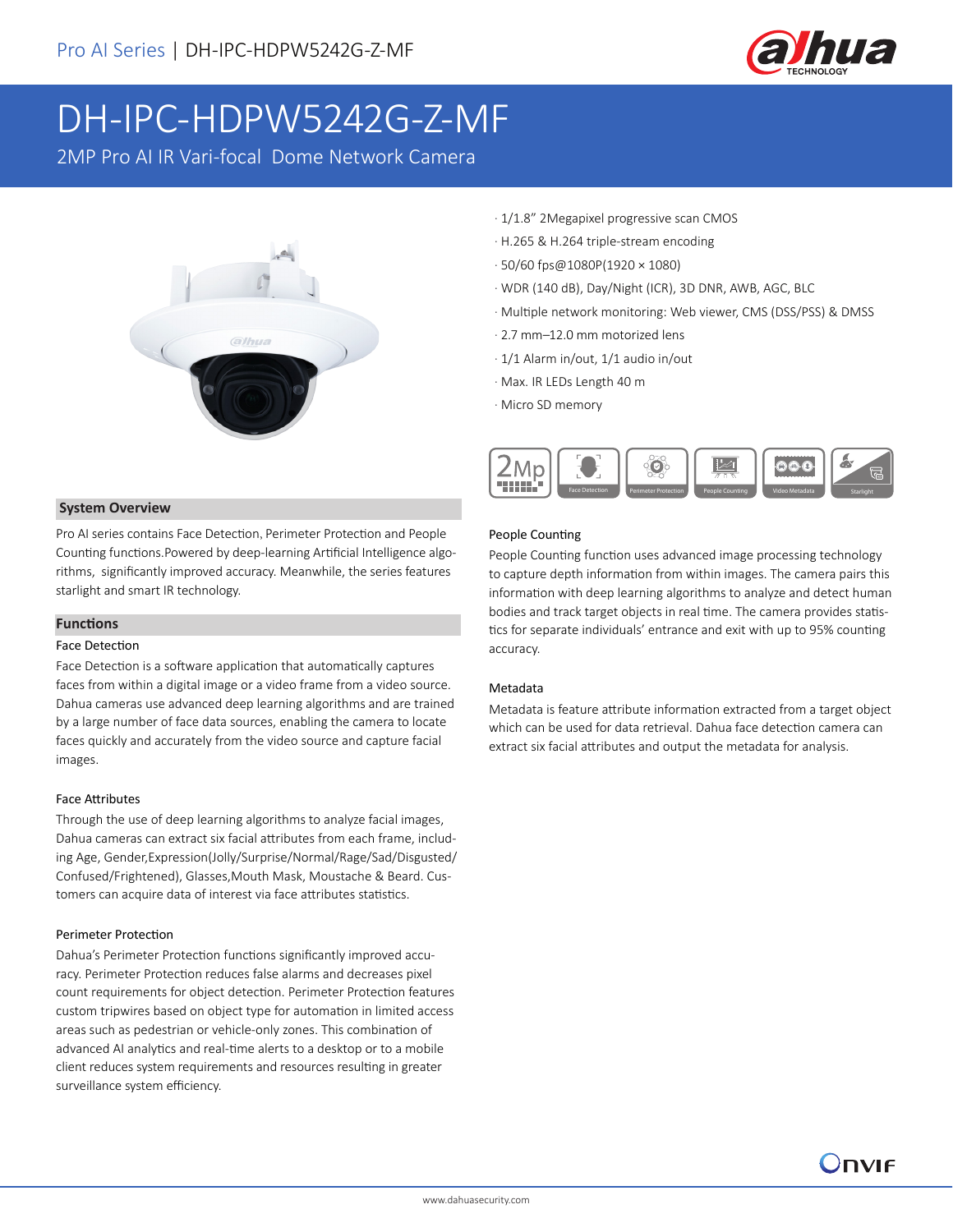

# DH-IPC-HDPW5242G-Z-MF

2MP Pro AI IR Vari-focal Dome Network Camera



#### **System Overview**

Pro AI series contains Face Detection, Perimeter Protection and People Counting functions.Powered by deep-learning Artificial Intelligence algorithms, significantly improved accuracy. Meanwhile, the series features starlight and smart IR technology.

#### **Functions**

#### Face Detection

Face Detection is a software application that automatically captures faces from within a digital image or a video frame from a video source. Dahua cameras use advanced deep learning algorithms and are trained by a large number of face data sources, enabling the camera to locate faces quickly and accurately from the video source and capture facial images.

#### Face Attributes

Through the use of deep learning algorithms to analyze facial images, Dahua cameras can extract six facial attributes from each frame, including Age, Gender,Expression(Jolly/Surprise/Normal/Rage/Sad/Disgusted/ Confused/Frightened), Glasses,Mouth Mask, Moustache & Beard. Customers can acquire data of interest via face attributes statistics.

#### Perimeter Protection

Dahua's Perimeter Protection functions significantly improved accuracy. Perimeter Protection reduces false alarms and decreases pixel count requirements for object detection. Perimeter Protection features custom tripwires based on object type for automation in limited access areas such as pedestrian or vehicle-only zones. This combination of advanced AI analytics and real-time alerts to a desktop or to a mobile client reduces system requirements and resources resulting in greater surveillance system efficiency.

- · 1/1.8" 2Megapixel progressive scan CMOS
- · H.265 & H.264 triple-stream encoding
- · 50/60 fps@1080P(1920 × 1080)
- · WDR (140 dB), Day/Night (ICR), 3D DNR, AWB, AGC, BLC
- · Multiple network monitoring: Web viewer, CMS (DSS/PSS) & DMSS
- · 2.7 mm–12.0 mm motorized lens
- · 1/1 Alarm in/out, 1/1 audio in/out
- · Max. IR LEDs Length 40 m
- · Micro SD memory



#### People Counting

People Counting function uses advanced image processing technology to capture depth information from within images. The camera pairs this information with deep learning algorithms to analyze and detect human bodies and track target objects in real time. The camera provides statistics for separate individuals' entrance and exit with up to 95% counting accuracy.

#### Metadata

Metadata is feature attribute information extracted from a target object which can be used for data retrieval. Dahua face detection camera can extract six facial attributes and output the metadata for analysis.

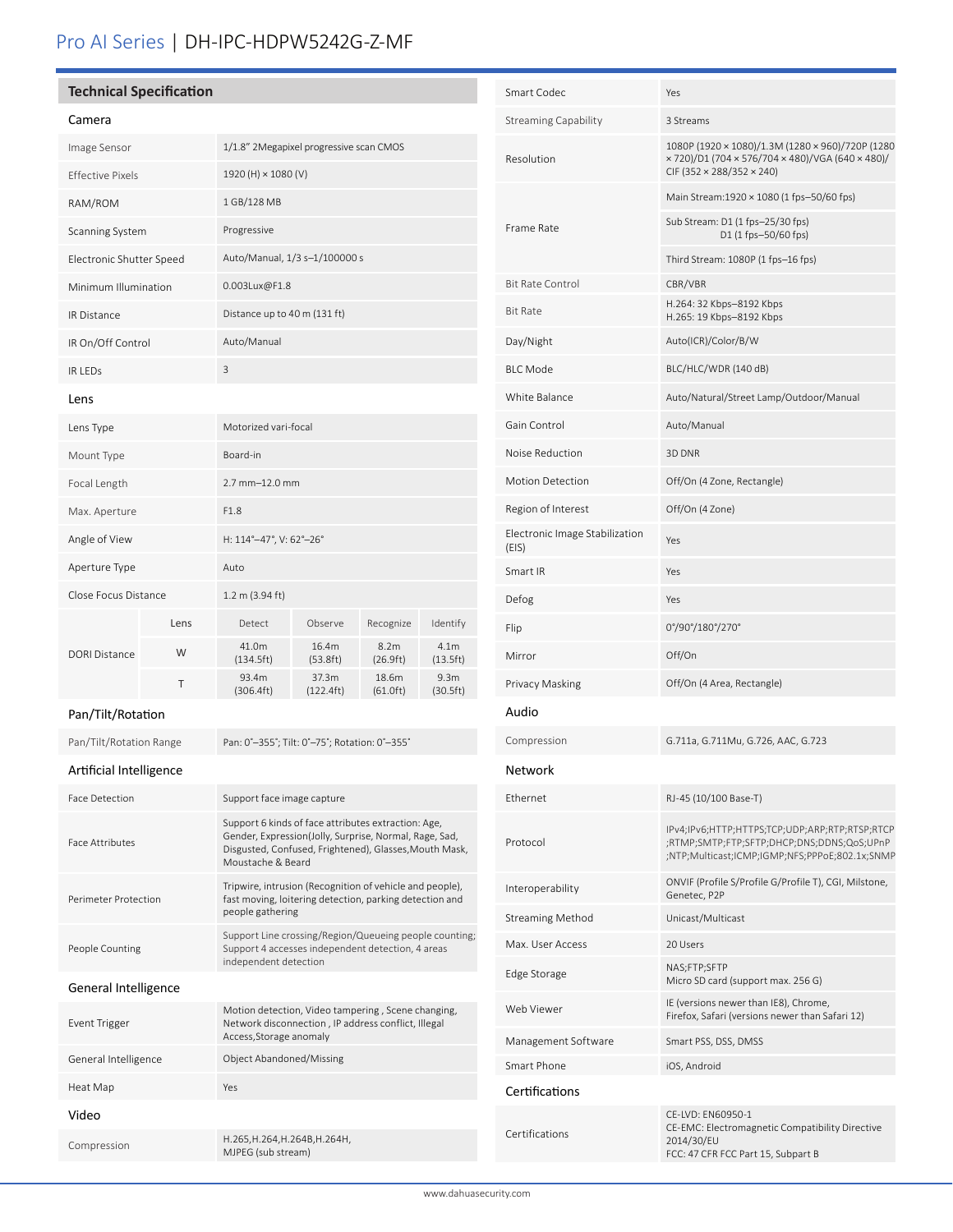# Pro AI Series | DH-IPC-HDPW5242G-Z-MF

## **Technical Specification**

| Camera                             |      |                                         |                    |                               |                              |
|------------------------------------|------|-----------------------------------------|--------------------|-------------------------------|------------------------------|
| Image Sensor                       |      | 1/1.8" 2Megapixel progressive scan CMOS |                    |                               |                              |
| <b>Effective Pixels</b>            |      | 1920 (H) × 1080 (V)                     |                    |                               |                              |
| RAM/ROM                            |      | 1 GB/128 MB                             |                    |                               |                              |
| Scanning System                    |      | Progressive                             |                    |                               |                              |
| Electronic Shutter Speed           |      | Auto/Manual, 1/3 s-1/100000 s           |                    |                               |                              |
| Minimum Illumination               |      | 0.003Lux@F1.8                           |                    |                               |                              |
| <b>IR Distance</b>                 |      | Distance up to 40 m (131 ft)            |                    |                               |                              |
| IR On/Off Control                  |      | Auto/Manual                             |                    |                               |                              |
| <b>IRIFDs</b>                      |      | 3                                       |                    |                               |                              |
| Lens                               |      |                                         |                    |                               |                              |
| Lens Type                          |      | Motorized vari-focal                    |                    |                               |                              |
| Mount Type                         |      | Board-in                                |                    |                               |                              |
| Focal Length                       |      | 2.7 mm-12.0 mm                          |                    |                               |                              |
| Max. Aperture                      |      | F1.8                                    |                    |                               |                              |
| Angle of View                      |      | H: 114°-47°, V: 62°-26°                 |                    |                               |                              |
| Aperture Type                      |      | Auto                                    |                    |                               |                              |
| Close Focus Distance               |      | 1.2 m (3.94 ft)                         |                    |                               |                              |
| <b>DORI Distance</b>               | Lens | Detect                                  | Observe            | Recognize                     | Identify                     |
|                                    | W    | 41.0m<br>(134.5ft)                      | 16.4m<br>(53.8 ft) | 8.2 <sub>m</sub><br>(26.9 ft) | 4.1 <sub>m</sub><br>(13.5ft) |
|                                    | T    | 93.4m<br>(306.4ft)                      | 37.3m<br>(122.4ft) | 18.6m<br>(61.0ft)             | 9.3 <sub>m</sub><br>(30.5ft) |
| $D_{\alpha\alpha}$ /Tilt (Datation |      |                                         |                    |                               |                              |

#### Pan/Tilt/Rotation

Pan/Tilt/Rotation Range Pan: 0°-355°; Tilt: 0°-75°; Rotation: 0°-355°

## Artificial Intelligence

| <b>Face Detection</b>  | Support face image capture                                                                                                                                                                   |  |  |
|------------------------|----------------------------------------------------------------------------------------------------------------------------------------------------------------------------------------------|--|--|
| <b>Face Attributes</b> | Support 6 kinds of face attributes extraction: Age,<br>Gender, Expression(Jolly, Surprise, Normal, Rage, Sad,<br>Disgusted, Confused, Frightened), Glasses, Mouth Mask,<br>Moustache & Beard |  |  |
| Perimeter Protection   | Tripwire, intrusion (Recognition of vehicle and people),<br>fast moving, loitering detection, parking detection and<br>people gathering                                                      |  |  |
| People Counting        | Support Line crossing/Region/Queueing people counting;<br>Support 4 accesses independent detection, 4 areas<br>independent detection                                                         |  |  |
| General Intelligence   |                                                                                                                                                                                              |  |  |
| Event Trigger          | Motion detection, Video tampering, Scene changing,<br>Network disconnection, IP address conflict, Illegal<br>Access, Storage anomaly                                                         |  |  |
| General Intelligence   | <b>Object Abandoned/Missing</b>                                                                                                                                                              |  |  |
| Heat Map               | Yes                                                                                                                                                                                          |  |  |
| Video                  |                                                                                                                                                                                              |  |  |
| Compression            | H.265, H.264, H.264B, H.264H,<br>MJPEG (sub stream)                                                                                                                                          |  |  |

| Smart Codec                             | Yes                                                                                                                                            |  |  |
|-----------------------------------------|------------------------------------------------------------------------------------------------------------------------------------------------|--|--|
| <b>Streaming Capability</b>             | 3 Streams                                                                                                                                      |  |  |
| Resolution                              | 1080P (1920 × 1080)/1.3M (1280 × 960)/720P (1280<br>× 720)/D1 (704 × 576/704 × 480)/VGA (640 × 480)/<br>CIF (352 × 288/352 × 240)              |  |  |
|                                         | Main Stream:1920 × 1080 (1 fps-50/60 fps)                                                                                                      |  |  |
| Frame Rate                              | Sub Stream: D1 (1 fps-25/30 fps)<br>D1 (1 fps-50/60 fps)                                                                                       |  |  |
|                                         | Third Stream: 1080P (1 fps-16 fps)                                                                                                             |  |  |
| <b>Bit Rate Control</b>                 | CBR/VBR                                                                                                                                        |  |  |
| <b>Bit Rate</b>                         | H.264: 32 Kbps-8192 Kbps<br>H.265: 19 Kbps-8192 Kbps                                                                                           |  |  |
| Day/Night                               | Auto(ICR)/Color/B/W                                                                                                                            |  |  |
| <b>BLC Mode</b>                         | BLC/HLC/WDR (140 dB)                                                                                                                           |  |  |
| White Balance                           | Auto/Natural/Street Lamp/Outdoor/Manual                                                                                                        |  |  |
| Gain Control                            | Auto/Manual                                                                                                                                    |  |  |
| Noise Reduction                         | 3D DNR                                                                                                                                         |  |  |
| <b>Motion Detection</b>                 | Off/On (4 Zone, Rectangle)                                                                                                                     |  |  |
| Region of Interest                      | Off/On (4 Zone)                                                                                                                                |  |  |
| Electronic Image Stabilization<br>(EIS) | Yes                                                                                                                                            |  |  |
| Smart IR                                | Yes                                                                                                                                            |  |  |
| Defog                                   | Yes                                                                                                                                            |  |  |
| Flip                                    | 0°/90°/180°/270°                                                                                                                               |  |  |
| Mirror                                  | Off/On                                                                                                                                         |  |  |
| Privacy Masking                         | Off/On (4 Area, Rectangle)                                                                                                                     |  |  |
| Audio                                   |                                                                                                                                                |  |  |
| Compression                             | G.711a, G.711Mu, G.726, AAC, G.723                                                                                                             |  |  |
| Network                                 |                                                                                                                                                |  |  |
| Ethernet                                | RJ-45 (10/100 Base-T)                                                                                                                          |  |  |
| Protocol                                | IPv4;IPv6;HTTP;HTTPS;TCP;UDP;ARP;RTP;RTSP;RTCP<br>;RTMP;SMTP;FTP;SFTP;DHCP;DNS;DDNS;QoS;UPnP<br>;NTP;Multicast;ICMP;IGMP;NFS;PPPoE;802.1x;SNMP |  |  |
| Interoperability                        | ONVIF (Profile S/Profile G/Profile T), CGI, Milstone,<br>Genetec, P2P                                                                          |  |  |
| <b>Streaming Method</b>                 | Unicast/Multicast                                                                                                                              |  |  |
| Max. User Access                        | 20 Users                                                                                                                                       |  |  |
| Edge Storage                            | NAS;FTP;SFTP<br>Micro SD card (support max. 256 G)                                                                                             |  |  |
| Web Viewer                              | IE (versions newer than IE8), Chrome,<br>Firefox, Safari (versions newer than Safari 12)                                                       |  |  |
| Management Software                     | Smart PSS, DSS, DMSS                                                                                                                           |  |  |
| Smart Phone                             | iOS, Android                                                                                                                                   |  |  |
| Certifications                          |                                                                                                                                                |  |  |
| Certifications                          | CE-LVD: EN60950-1<br>CE-EMC: Electromagnetic Compatibility Directive<br>2014/30/EU<br>FCC: 47 CFR FCC Part 15, Subpart B                       |  |  |